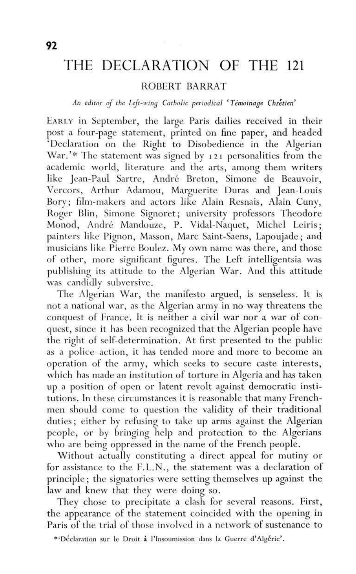## THE DECLARATION OF THE 121

## ROBERT BARRAT

## *An editor of the Left-wing Catholic periodical<sup>l</sup> Temoinage Chretien<sup>1</sup>*

EARLY in September, the large Paris dailies received in their post a four-page statement, printed on fine paper, and headed 'Declaration on the Right to Disobedience in the Algerian War.'\* The statement was signed by 121 personalities from the academic world, literature and the arts, among them writers like Jean-Paul Sartre, André Breton, Simone de Beauvoir, Vercors, Arthur Adamou, Marguerite Duras and Jean-Louis Bory; film-makers and actors like Alain Resnais, Alain Cuny, Roger Blin, Simone Signoret; university professors Theodore Monod, André Mandouze, P. Vidal-Naquet, Michel Leiris; painters like Pignon, Masson, Marc Saint-Saens, Lapoujade; and musicians like Pierre Boulez. My own name was there, and those of other, more significant figures. The Left intelligentsia was publishing its attitude to the Algerian War. And this attitude was candidly subversive.

The Algerian War, the manifesto argued, is senseless. It is not a national war, as the Algerian army in no way threatens the conquest of France. It is neither a civil war nor a war of conquest, since it has been recognized that the Algerian people have the right of self-determination. At first presented to the public as a police action, it has tended more and more to become an operation of the army, which seeks to secure caste interests, which has made an institution of torture in Algeria and has taken up a position of open or latent revolt against democratic institutions. In these circumstances it is reasonable that many Frenchmen should come to question the validity of their traditional duties; either by refusing to take up arms against the Algerian people, or by bringing help and protection to the Algerians who are being oppressed in the name of the French people.

Without actually constituting a direct appeal for mutiny or for assistance to the F.L.N., the statement was a declaration of principle; the signatories were setting themselves up against the law and knew that they were doing so.

They chose to precipitate a clash for several reasons. First, the appearance of the statement coincided with the opening in Paris of the trial of those involved in a network of sustenance to

<sup>\*&#</sup>x27;Déclaration sur le Droit à l'Insoumission dans la Guerre d'Algérie'.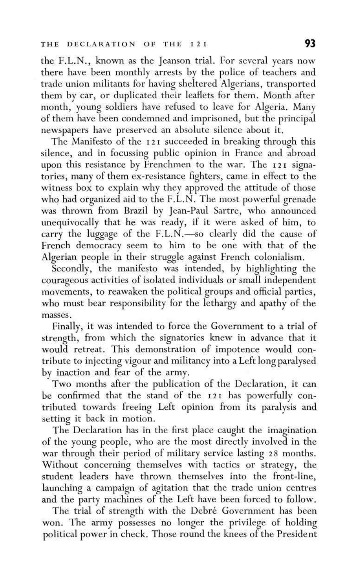the F.L.N., known as the Jeanson trial. For several years now there have been monthly arrests by the police of teachers and trade union militants for having sheltered Algerians, transported them by car, or duplicated their leaflets for them. Month after month, young soldiers have refused to leave for Algeria. Many of them have been condemned and imprisoned, but the principal newspapers have preserved an absolute silence about it.

The Manifesto of the 121 succeeded in breaking through this silence, and in focussing public opinion in France and abroad upon this resistance by Frenchmen to the war. The 121 signatories, many of them ex-resistance fighters, came in effect to the witness box to explain why they approved the attitude of those who had organized aid to the F.L.N. The most powerful grenade was thrown from Brazil by Jean-Paul Sartre, who announced unequivocally that he was ready, if it were asked of him, to carry the luggage of the F.L.N.—so clearly did the cause of French democracy seem to him to be one with that of the Algerian people in their struggle against French colonialism.

Secondly, the manifesto was intended, by highlighting the courageous activities of isolated individuals or small independent movements, to reawaken the political groups and official parties, who must bear responsibility for the lethargy and apathy of the masses.

Finally, it was intended to force the Government to a trial of strength, from which the signatories knew in advance that it would retreat. This demonstration of impotence would contribute to injecting vigour and militancy into a Left long paralysed by inaction and fear of the army.

Two months after the publication of the Declaration, it can be confirmed that the stand of the 121 has powerfully contributed towards freeing Left opinion from its paralysis and setting it back in motion.

The Declaration has in the first place caught the imagination of the young people, who are the most directly involved in the war through their period of military service lasting 28 months. Without concerning themselves with tactics or strategy, the student leaders have thrown themselves into the front-line, launching a campaign of agitation that the trade union centres and the party machines of the Left have been forced to follow.

The trial of strength with the Debré Government has been won. The army possesses no longer the privilege of holding political power in check. Those round the knees of the President